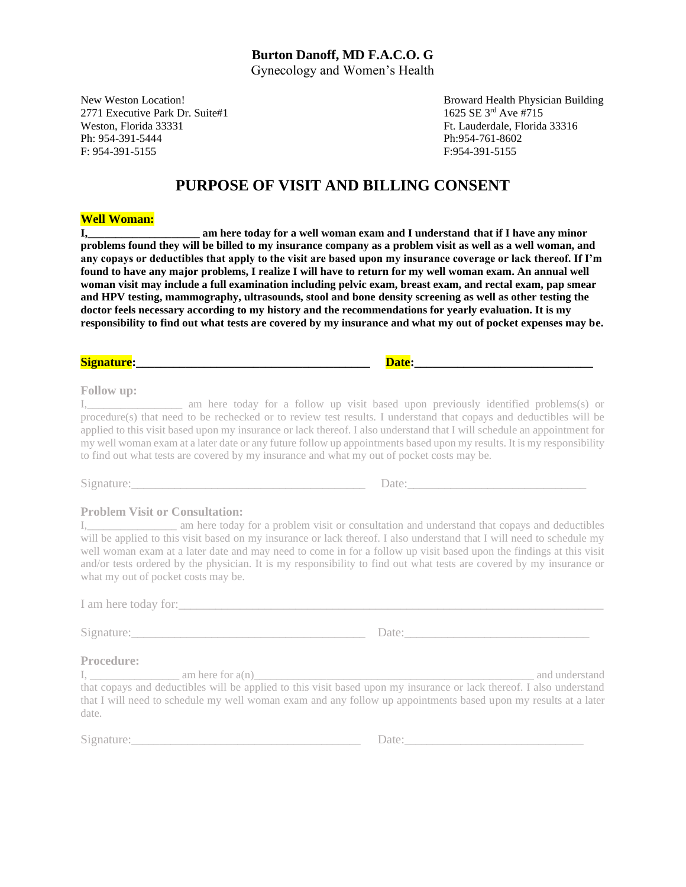2771 Executive Park Dr. Suite#1 Weston, Florida 33331 Ft. Lauderdale, Florida 333316 Ph: 954-391-5444 Ph:954-761-8602 F: 954-391-5155 F:954-391-5155

New Weston Location!<br>
2771 Executive Park Dr. Suite#1 (1625 SE 3<sup>rd</sup> Ave #715)

# **PURPOSE OF VISIT AND BILLING CONSENT**

#### **Well Woman:**

**I,\_\_\_\_\_\_\_\_\_\_\_\_\_\_\_\_\_\_\_\_ am here today for a well woman exam and I understand that if I have any minor problems found they will be billed to my insurance company as a problem visit as well as a well woman, and any copays or deductibles that apply to the visit are based upon my insurance coverage or lack thereof. If I'm found to have any major problems, I realize I will have to return for my well woman exam. An annual well woman visit may include a full examination including pelvic exam, breast exam, and rectal exam, pap smear and HPV testing, mammography, ultrasounds, stool and bone density screening as well as other testing the doctor feels necessary according to my history and the recommendations for yearly evaluation. It is my responsibility to find out what tests are covered by my insurance and what my out of pocket expenses may be.** 

#### **Signature:\_\_\_\_\_\_\_\_\_\_\_\_\_\_\_\_\_\_\_\_\_\_\_\_\_\_\_\_\_\_\_\_\_\_\_\_\_\_ Date:\_\_\_\_\_\_\_\_\_\_\_\_\_\_\_\_\_\_\_\_\_\_\_\_\_\_\_\_\_**

#### **Follow up:**

I,\_\_\_\_\_\_\_\_\_\_\_\_\_\_\_\_\_ am here today for a follow up visit based upon previously identified problems(s) or procedure(s) that need to be rechecked or to review test results. I understand that copays and deductibles will be applied to this visit based upon my insurance or lack thereof. I also understand that I will schedule an appointment for my well woman exam at a later date or any future follow up appointments based upon my results. It is my responsibility to find out what tests are covered by my insurance and what my out of pocket costs may be.

Signature:\_\_\_\_\_\_\_\_\_\_\_\_\_\_\_\_\_\_\_\_\_\_\_\_\_\_\_\_\_\_\_\_\_\_\_\_\_\_ Date:\_\_\_\_\_\_\_\_\_\_\_\_\_\_\_\_\_\_\_\_\_\_\_\_\_\_\_\_\_

#### **Problem Visit or Consultation:**

I,\_\_\_\_\_\_\_\_\_\_\_\_\_\_\_\_ am here today for a problem visit or consultation and understand that copays and deductibles will be applied to this visit based on my insurance or lack thereof. I also understand that I will need to schedule my well woman exam at a later date and may need to come in for a follow up visit based upon the findings at this visit and/or tests ordered by the physician. It is my responsibility to find out what tests are covered by my insurance or what my out of pocket costs may be.

| I am here today for: |  |
|----------------------|--|
|                      |  |

Signature:  $\Box$ 

**Procedure:**

I, \_\_\_\_\_\_\_\_\_\_\_\_\_\_\_\_ am here for a(n)\_\_\_\_\_\_\_\_\_\_\_\_\_\_\_\_\_\_\_\_\_\_\_\_\_\_\_\_\_\_\_\_\_\_\_\_\_\_\_\_\_\_\_\_\_\_\_\_\_\_ and understand that copays and deductibles will be applied to this visit based upon my insurance or lack thereof. I also understand that I will need to schedule my well woman exam and any follow up appointments based upon my results at a later date.

Signature:  $\Box$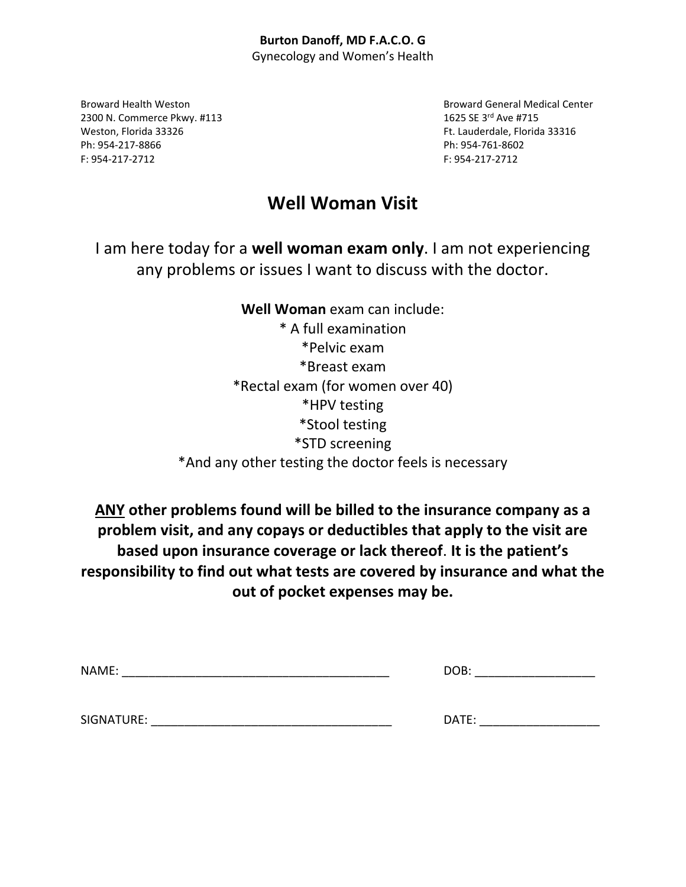**Burton Danoff, MD F.A.C.O. G** Gynecology and Women's Health

2300 N. Commerce Pkwy. #113  $1625$  SE 3<sup>rd</sup> Ave #715 Weston, Florida 33326 **Ft. Lauderdale, Florida 33316** Ph: 954-217-8866 Ph: 954-761-8602 F: 954-217-2712 F: 954-217-2712

Broward Health Weston Broward General Medical Center

# **Well Woman Visit**

I am here today for a **well woman exam only**. I am not experiencing any problems or issues I want to discuss with the doctor.

> **Well Woman** exam can include: \* A full examination \*Pelvic exam \*Breast exam \*Rectal exam (for women over 40) \*HPV testing \*Stool testing \*STD screening \*And any other testing the doctor feels is necessary

**ANY other problems found will be billed to the insurance company as a problem visit, and any copays or deductibles that apply to the visit are based upon insurance coverage or lack thereof**. **It is the patient's responsibility to find out what tests are covered by insurance and what the out of pocket expenses may be.**

| NAME: | DOB: |
|-------|------|
|       |      |
|       |      |

| SIGNATI | $-$ |
|---------|-----|
| 4 ID F  | ١Δ  |
|         |     |
|         |     |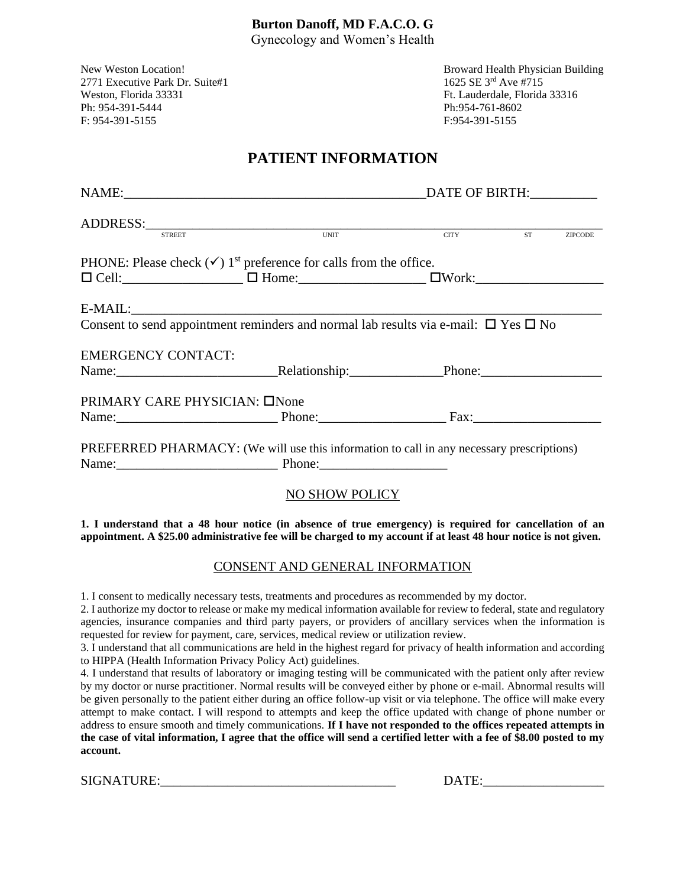2771 Executive Park Dr. Suite#1 Weston, Florida 33331 Ft. Lauderdale, Florida 33316 Ph: 954-391-5444 Ph:954-761-8602 F: 954-391-5155 F:954-391-5155

New Weston Location!<br>
2771 Executive Park Dr. Suite#1 (1625 SE 3<sup>rd</sup> Ave #715)

# **PATIENT INFORMATION**

|                               |                                                                                               | DATE OF BIRTH: |                |
|-------------------------------|-----------------------------------------------------------------------------------------------|----------------|----------------|
|                               |                                                                                               |                |                |
|                               |                                                                                               | CITY ST        | <b>ZIPCODE</b> |
|                               | PHONE: Please check $(\checkmark)$ 1 <sup>st</sup> preference for calls from the office.      |                |                |
|                               |                                                                                               |                |                |
|                               |                                                                                               |                |                |
|                               |                                                                                               |                |                |
|                               | Consent to send appointment reminders and normal lab results via e-mail: $\Box$ Yes $\Box$ No |                |                |
|                               |                                                                                               |                |                |
| <b>EMERGENCY CONTACT:</b>     |                                                                                               |                |                |
|                               | Name: Relationship: Phone: Phone:                                                             |                |                |
| PRIMARY CARE PHYSICIAN: □None |                                                                                               |                |                |
|                               | Name: <u>Name: Phone: Phone: Fax:</u> Fax:                                                    |                |                |
|                               | PREFERRED PHARMACY: (We will use this information to call in any necessary prescriptions)     |                |                |
|                               | Name: Phone: Phone:                                                                           |                |                |
|                               |                                                                                               |                |                |

## NO SHOW POLICY

**1. I understand that a 48 hour notice (in absence of true emergency) is required for cancellation of an appointment. A \$25.00 administrative fee will be charged to my account if at least 48 hour notice is not given.** 

## CONSENT AND GENERAL INFORMATION

1. I consent to medically necessary tests, treatments and procedures as recommended by my doctor.

2. I authorize my doctor to release or make my medical information available for review to federal, state and regulatory agencies, insurance companies and third party payers, or providers of ancillary services when the information is requested for review for payment, care, services, medical review or utilization review.

3. I understand that all communications are held in the highest regard for privacy of health information and according to HIPPA (Health Information Privacy Policy Act) guidelines.

4. I understand that results of laboratory or imaging testing will be communicated with the patient only after review by my doctor or nurse practitioner. Normal results will be conveyed either by phone or e-mail. Abnormal results will be given personally to the patient either during an office follow-up visit or via telephone. The office will make every attempt to make contact. I will respond to attempts and keep the office updated with change of phone number or address to ensure smooth and timely communications. **If I have not responded to the offices repeated attempts in the case of vital information, I agree that the office will send a certified letter with a fee of \$8.00 posted to my account.**

SIGNATURE:\_\_\_\_\_\_\_\_\_\_\_\_\_\_\_\_\_\_\_\_\_\_\_\_\_\_\_\_\_\_\_\_\_\_\_ DATE:\_\_\_\_\_\_\_\_\_\_\_\_\_\_\_\_\_\_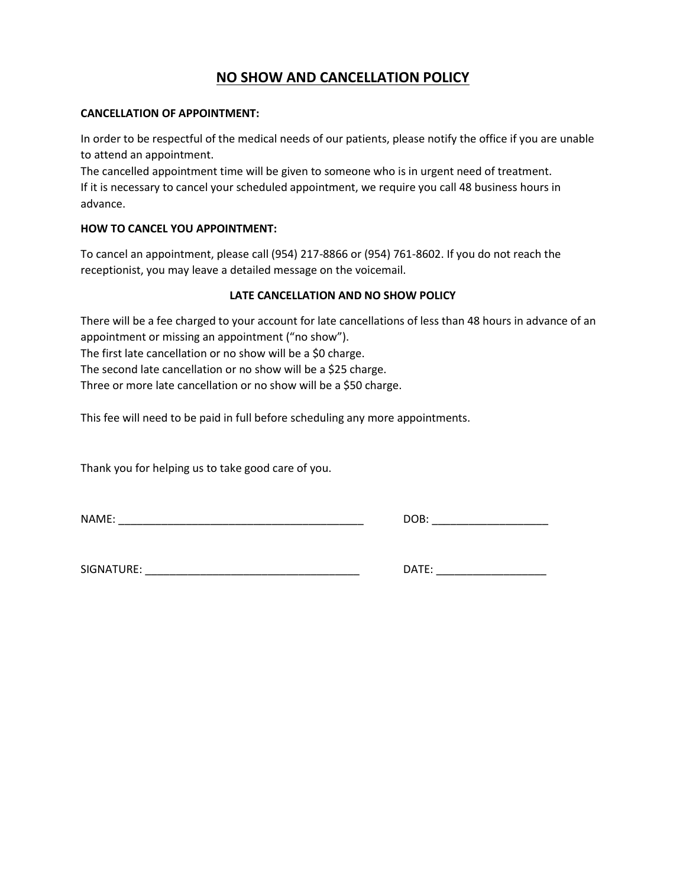# **NO SHOW AND CANCELLATION POLICY**

## **CANCELLATION OF APPOINTMENT:**

In order to be respectful of the medical needs of our patients, please notify the office if you are unable to attend an appointment.

The cancelled appointment time will be given to someone who is in urgent need of treatment. If it is necessary to cancel your scheduled appointment, we require you call 48 business hours in advance.

## **HOW TO CANCEL YOU APPOINTMENT:**

To cancel an appointment, please call (954) 217-8866 or (954) 761-8602. If you do not reach the receptionist, you may leave a detailed message on the voicemail.

## **LATE CANCELLATION AND NO SHOW POLICY**

There will be a fee charged to your account for late cancellations of less than 48 hours in advance of an appointment or missing an appointment ("no show").

The first late cancellation or no show will be a \$0 charge.

The second late cancellation or no show will be a \$25 charge.

Three or more late cancellation or no show will be a \$50 charge.

This fee will need to be paid in full before scheduling any more appointments.

Thank you for helping us to take good care of you.

NAME: \_\_\_\_\_\_\_\_\_\_\_\_\_\_\_\_\_\_\_\_\_\_\_\_\_\_\_\_\_\_\_\_\_\_\_\_\_\_\_\_ DOB: \_\_\_\_\_\_\_\_\_\_\_\_\_\_\_\_\_\_\_

SIGNATURE: \_\_\_\_\_\_\_\_\_\_\_\_\_\_\_\_\_\_\_\_\_\_\_\_\_\_\_\_\_\_\_\_\_\_\_ DATE: \_\_\_\_\_\_\_\_\_\_\_\_\_\_\_\_\_\_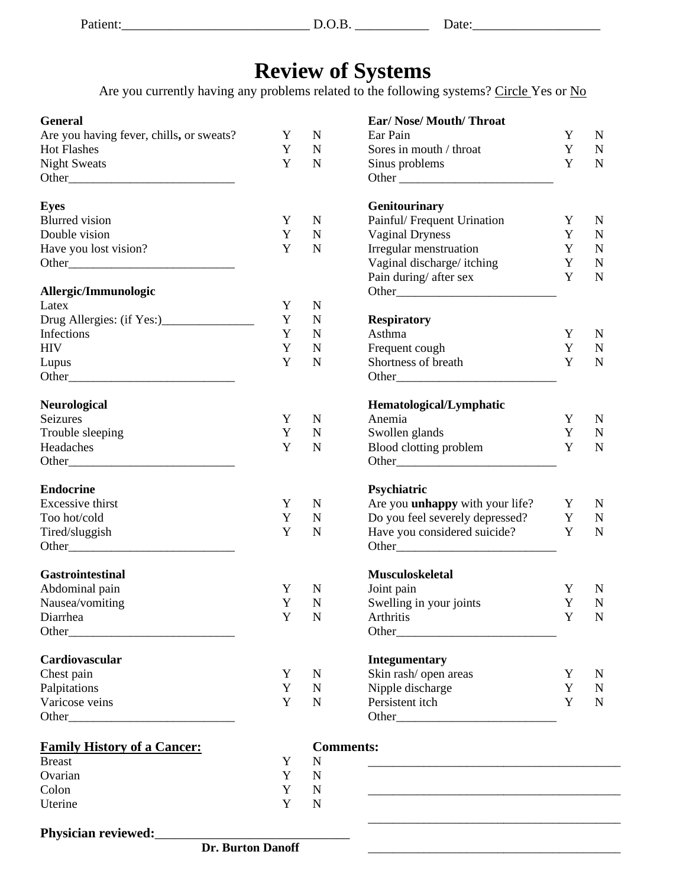# **Review of Systems**

Are you currently having any problems related to the following systems? Circle Yes or No

| <b>General</b>                           |             |             | Ear/ Nose/ Mouth/ Throat               |             |             |
|------------------------------------------|-------------|-------------|----------------------------------------|-------------|-------------|
| Are you having fever, chills, or sweats? | Y           | N           | Ear Pain                               | Y           | N           |
| <b>Hot Flashes</b>                       | Y           | $\mathbf N$ | Sores in mouth / throat                | Y           | N           |
| <b>Night Sweats</b>                      | Y           | $\mathbf N$ | Sinus problems                         | Y           | N           |
|                                          |             |             |                                        |             |             |
| <b>Eyes</b>                              |             |             | Genitourinary                          |             |             |
| <b>Blurred</b> vision                    | Y           | ${\bf N}$   | Painful/Frequent Urination             | Y           | N           |
| Double vision                            | Y           | ${\bf N}$   | <b>Vaginal Dryness</b>                 | Y           | N           |
| Have you lost vision?                    | Y           | ${\bf N}$   | Irregular menstruation                 | $\mathbf Y$ | N           |
|                                          |             |             | Vaginal discharge/itching              | $\mathbf Y$ | N           |
|                                          |             |             | Pain during/ after sex                 | Y           | N           |
| Allergic/Immunologic                     |             |             |                                        |             |             |
| Latex                                    | Y           | N           |                                        |             |             |
|                                          | $\mathbf Y$ | N           | <b>Respiratory</b>                     |             |             |
| Infections                               | Y           | N           | Asthma                                 | Y           | N           |
| <b>HIV</b>                               | Y           | N           | Frequent cough                         | Y           | N           |
| Lupus                                    | Y           | N           | Shortness of breath                    | Y           | $\mathbf N$ |
|                                          |             |             |                                        |             |             |
| Neurological                             |             |             | Hematological/Lymphatic                |             |             |
| Seizures                                 | Y           | N           | Anemia                                 | Y           | N           |
| Trouble sleeping                         | Y           | N           | Swollen glands                         | Y           | N           |
| Headaches                                | $\mathbf Y$ | N           | Blood clotting problem                 | Y           | N           |
|                                          |             |             |                                        |             |             |
| <b>Endocrine</b>                         |             |             | Psychiatric                            |             |             |
| Excessive thirst                         | Y           | $\mathbf N$ | Are you <b>unhappy</b> with your life? | Y           | N           |
| Too hot/cold                             | Y           | $\mathbf N$ | Do you feel severely depressed?        | $\mathbf Y$ | N           |
| Tired/sluggish                           | Y           | $\mathbf N$ | Have you considered suicide?           | Y           | $\mathbf N$ |
|                                          |             |             |                                        |             |             |
| Gastrointestinal                         |             |             | Musculoskeletal                        |             |             |
| Abdominal pain                           | Y           | $\mathbf N$ | Joint pain                             | Y           | N           |
| Nausea/vomiting                          | Y           | $\mathbf N$ | Swelling in your joints                | Y           | N           |
| Diarrhea                                 | Y           | $\mathbf N$ | Arthritis                              | Y           | N           |
| Other                                    |             |             | Other_                                 |             |             |
| Cardiovascular                           |             |             | <b>Integumentary</b>                   |             |             |
| Chest pain                               | Y           | N           | Skin rash/ open areas                  | Y           | N           |
| Palpitations                             | Y           | ${\bf N}$   | Nipple discharge                       | Y           | N           |
| Varicose veins                           | $\mathbf Y$ | $\mathbf N$ | Persistent itch                        | Y           | N           |
|                                          |             |             |                                        |             |             |

| <b>Ear/ Nose/ Mouth/ Throat</b>        |   |             |
|----------------------------------------|---|-------------|
| Ear Pain                               | Y | N           |
| Sores in mouth / throat                | Y | N           |
| Sinus problems                         | Y | N           |
| Other                                  |   |             |
| <b>Genitourinary</b>                   |   |             |
| Painful/ Frequent Urination            | Y | N           |
| <b>Vaginal Dryness</b>                 | Y | N           |
| Irregular menstruation                 | Y | $\mathbf N$ |
| Vaginal discharge/itching              | Y | $\mathbf N$ |
| Pain during/after sex                  | Y | $\mathbf N$ |
|                                        |   |             |
|                                        |   |             |
| <b>Respiratory</b>                     |   |             |
| Asthma                                 | Y | N           |
| Frequent cough                         | Y | N           |
| Shortness of breath                    | Y | N           |
| <b>Other</b>                           |   |             |
| <b>Hematological/Lymphatic</b>         |   |             |
| Anemia                                 | Y | N           |
| Swollen glands                         | Y | N           |
| Blood clotting problem                 | Y | N           |
| Other                                  |   |             |
|                                        |   |             |
| Psychiatric                            |   |             |
| Are you <b>unhappy</b> with your life? | Y | N           |
| Do you feel severely depressed?        | Y | $\mathbf N$ |
| Have you considered suicide?<br>Other  | Y | N           |
|                                        |   |             |
| <b>Musculoskeletal</b>                 |   |             |
| Joint pain                             | Y | N           |
| Swelling in your joints                | Y | N           |
| Arthritis                              | Y | N           |
| Other                                  |   |             |
| <b>Integumentary</b>                   |   |             |
| Skin rash/ open areas                  | Y | N           |
| Nipple discharge                       | Y | N           |
| Persistent itch                        | Y | N           |
|                                        |   |             |
|                                        |   |             |

| <b>Family History of a Cancer:</b> |  |   |
|------------------------------------|--|---|
| Breast                             |  | N |
| Ovarian                            |  | N |
| Colon                              |  | N |
| Uterine                            |  | N |

## **Family History of a Cancer: Comments:**

| ranniy mətər yət a Cancer:               |   | Community. |  |
|------------------------------------------|---|------------|--|
| <b>Breast</b>                            |   | N          |  |
| Ovarian                                  | V | N          |  |
| Colon                                    | v | N          |  |
| Uterine                                  | v | N          |  |
|                                          |   |            |  |
| $\mathbf{D}\mathbf{h}$ vgiojan naviavadı |   |            |  |

**Physician reviewed:**\_\_\_\_\_\_\_\_\_\_\_\_\_\_\_\_\_\_\_\_\_\_\_\_\_\_\_\_\_

Dr. Burton Danoff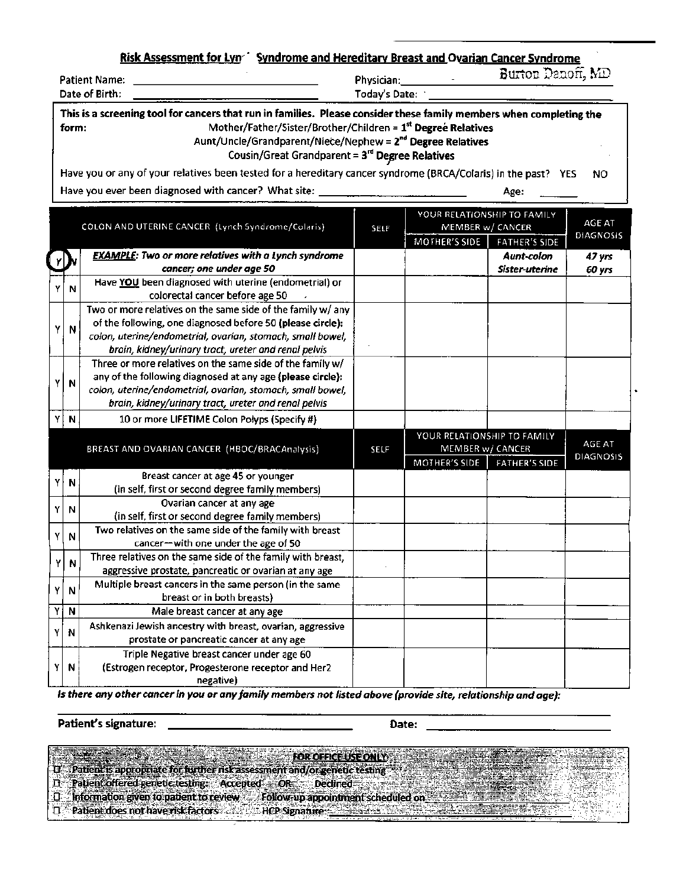|                      | Risk Assessment for Lyn <sup>-1</sup> Syndrome and Hereditary Breast and Ovarian Cancer Syndrome                                                                                                                                                                                                                                                                                                                                                           |      |                             |                                                                         |                                   |  |
|----------------------|------------------------------------------------------------------------------------------------------------------------------------------------------------------------------------------------------------------------------------------------------------------------------------------------------------------------------------------------------------------------------------------------------------------------------------------------------------|------|-----------------------------|-------------------------------------------------------------------------|-----------------------------------|--|
| <b>Patient Name:</b> |                                                                                                                                                                                                                                                                                                                                                                                                                                                            |      |                             | Burton Danoff, MD                                                       |                                   |  |
| Date of Birth:       |                                                                                                                                                                                                                                                                                                                                                                                                                                                            |      | Physician:<br>Today's Date: |                                                                         |                                   |  |
| form:                | This is a screening tool for cancers that run in families. Please consider these family members when completing the<br>Mother/Father/Sister/Brother/Children = 1 <sup>st</sup> Degree Relatives<br>Aunt/Uncle/Grandparent/Niece/Nephew = 2 <sup>nd</sup> Degree Relatives<br>Cousin/Great Grandparent = 3 <sup>rd</sup> Degree Relatives<br>Have you or any of your relatives been tested for a hereditary cancer syndrome (BRCA/Colaris) in the past? YES |      |                             |                                                                         |                                   |  |
|                      | Have you ever been diagnosed with cancer? What site:                                                                                                                                                                                                                                                                                                                                                                                                       |      |                             | Age:                                                                    | NΟ                                |  |
|                      | COLON AND UTERINE CANCER (Lynch Syndrome/Colaris)                                                                                                                                                                                                                                                                                                                                                                                                          | SELF | MOTHER'S SIDE               | YOUR RELATIONSHIP TO FAMILY<br>MEMBER w/ CANCER<br><b>FATHER'S SIDE</b> | <b>AGE AT</b><br><b>DIAGNOSIS</b> |  |
|                      | <b>EXAMPLE:</b> Two or more relatives with a Lynch syndrome                                                                                                                                                                                                                                                                                                                                                                                                |      |                             | Aunt-colon                                                              | 47 yrs                            |  |
|                      | cancer; one under age 50                                                                                                                                                                                                                                                                                                                                                                                                                                   |      |                             | Sister-uterine                                                          | 60 yrs                            |  |
| N<br>Y               | Have YOU been diagnosed with uterine (endometrial) or<br>colorectal cancer before age 50                                                                                                                                                                                                                                                                                                                                                                   |      |                             |                                                                         |                                   |  |
| Y<br>N               | Two or more relatives on the same side of the family w/ any<br>of the following, one diagnosed before 50 (please circle):<br>colon, uterine/endometrial, ovarian, stomach, small bowel,<br>brain, kidney/urinary tract, ureter and renal pelvis                                                                                                                                                                                                            |      |                             |                                                                         |                                   |  |
| Y<br>N               | Three or more relatives on the same side of the family w/<br>any of the following diagnosed at any age (please circle):<br>colon, uterine/endometrial, ovarian, stomach, small bowel,<br>brain, kidney/urinary tract, ureter and renal pelvis                                                                                                                                                                                                              |      |                             |                                                                         |                                   |  |
| Y.<br>N              | 10 or more LIFETIME Colon Polyps (Specify #)                                                                                                                                                                                                                                                                                                                                                                                                               |      |                             |                                                                         |                                   |  |
|                      | BREAST AND OVARIAN CANCER (HBOC/BRACAnalysis)                                                                                                                                                                                                                                                                                                                                                                                                              | SELF | MOTHER'S SIDE               | YOUR RELATIONSHIP TO FAMILY<br>MEMBER w/ CANCER<br><b>FATHER'S SIDE</b> | AGE AT<br><b>DIAGNOSIS</b>        |  |
| Y۱<br>N              | Breast cancer at age 45 or younger<br>(in self, first or second degree family members)                                                                                                                                                                                                                                                                                                                                                                     |      |                             |                                                                         |                                   |  |
| N                    | Ovarian cancer at any age<br>(in self, first or second degree family members)                                                                                                                                                                                                                                                                                                                                                                              |      |                             |                                                                         |                                   |  |
| N                    | Two relatives on the same side of the family with breast<br>cancer-with one under the age of 50                                                                                                                                                                                                                                                                                                                                                            |      |                             |                                                                         |                                   |  |
| Y١<br>N              | Three relatives on the same side of the family with breast,<br>aggressive prostate, pancreatic or ovarian at any age                                                                                                                                                                                                                                                                                                                                       |      |                             |                                                                         |                                   |  |
| N                    | Multiple breast cancers in the same person (in the same<br>breast or in both breasts)                                                                                                                                                                                                                                                                                                                                                                      |      |                             |                                                                         |                                   |  |
| N                    | Male breast cancer at any age                                                                                                                                                                                                                                                                                                                                                                                                                              |      |                             |                                                                         |                                   |  |
| N                    | Ashkenazi Jewish ancestry with breast, ovarian, aggressive<br>prostate or pancreatic cancer at any age                                                                                                                                                                                                                                                                                                                                                     |      |                             |                                                                         |                                   |  |
| ٧İ<br>N              | Triple Negative breast cancer under age 60<br>(Estrogen receptor, Progesterone receptor and Her2<br>negative)                                                                                                                                                                                                                                                                                                                                              |      |                             |                                                                         |                                   |  |

Is there any other cancer in you or any family members not listed above (provide site, relationship and age):

Patient's signature:

Date:

L.

<u> Andrewski</u>

<u>ranski po</u>

**Barbara** an ing <u> », FOR OFFICE IST ONLY)</u>

13. Patient'is appropriate for buttler risk assessment and/or genetic testing 1 Patient offered genetic testing. Accepted OR Declined

O information given to patient to review Follow-up appointment scheduled on

D Patient does not have risk factors and HCP Signature 58.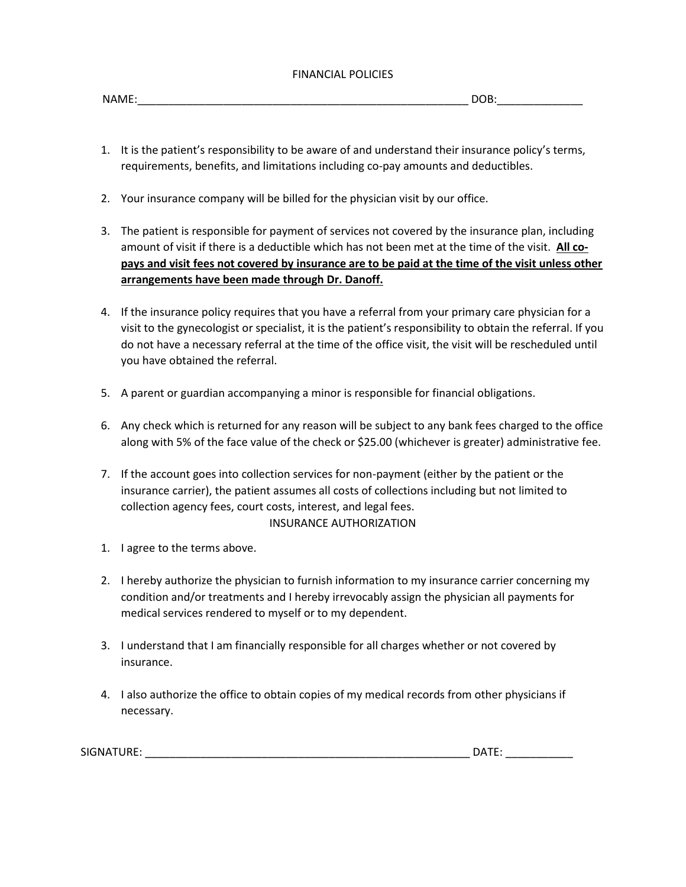## FINANCIAL POLICIES

| N۵<br> |  |
|--------|--|
|        |  |

- 1. It is the patient's responsibility to be aware of and understand their insurance policy's terms, requirements, benefits, and limitations including co-pay amounts and deductibles.
- 2. Your insurance company will be billed for the physician visit by our office.
- 3. The patient is responsible for payment of services not covered by the insurance plan, including amount of visit if there is a deductible which has not been met at the time of the visit. **All copays and visit fees not covered by insurance are to be paid at the time of the visit unless other arrangements have been made through Dr. Danoff.**
- 4. If the insurance policy requires that you have a referral from your primary care physician for a visit to the gynecologist or specialist, it is the patient's responsibility to obtain the referral. If you do not have a necessary referral at the time of the office visit, the visit will be rescheduled until you have obtained the referral.
- 5. A parent or guardian accompanying a minor is responsible for financial obligations.
- 6. Any check which is returned for any reason will be subject to any bank fees charged to the office along with 5% of the face value of the check or \$25.00 (whichever is greater) administrative fee.
- 7. If the account goes into collection services for non-payment (either by the patient or the insurance carrier), the patient assumes all costs of collections including but not limited to collection agency fees, court costs, interest, and legal fees. INSURANCE AUTHORIZATION
- 1. I agree to the terms above.
- 2. I hereby authorize the physician to furnish information to my insurance carrier concerning my condition and/or treatments and I hereby irrevocably assign the physician all payments for medical services rendered to myself or to my dependent.
- 3. I understand that I am financially responsible for all charges whether or not covered by insurance.
- 4. I also authorize the office to obtain copies of my medical records from other physicians if necessary.

| SIGN.<br>-----<br>IDE<br>$\mathbf{r}$<br>UL<br>INC. | , ,<br>. |  |
|-----------------------------------------------------|----------|--|
|                                                     |          |  |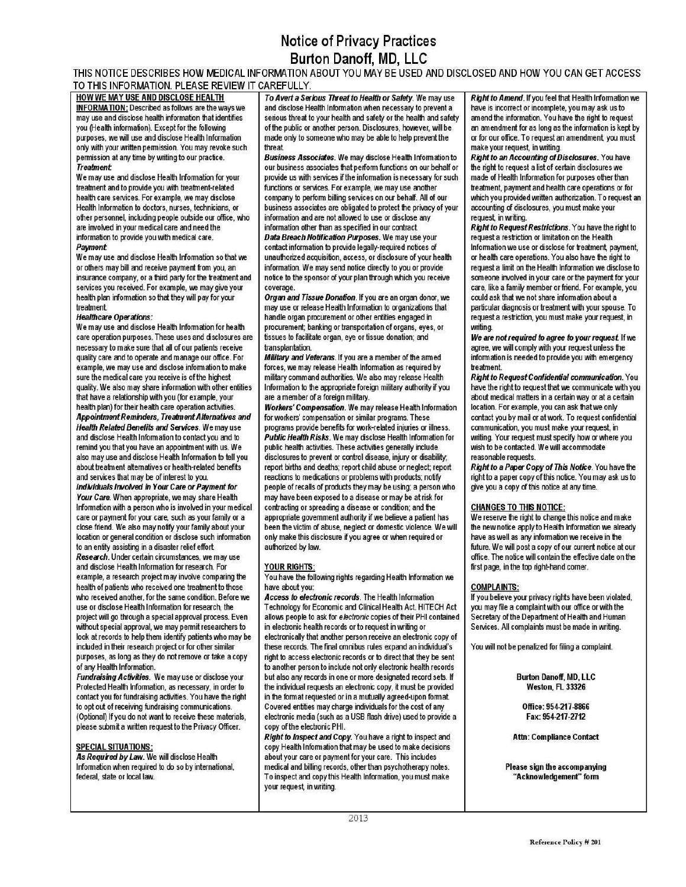# **Notice of Privacy Practices Burton Danoff, MD, LLC**

THIS NOTICE DESCRIBES HOW MEDICAL INFORMATION ABOUT YOU MAY BE USED AND DISCLOSED AND HOW YOU CAN GET ACCESS TO THIS INFORMATION. PLEASE REVIEW IT CAREFULLY.

HOW WE MAY USE AND DISCLOSE HEALTH **INFORMATION:** Described as follows are the ways we may use and disclose health information that identifies you (Health information). Except for the following purposes, we will use and disclose Health Information only with your written permission. You may revoke such permission at any time by writing to our practice. **Treatment** 

We may use and disclose Health Information for your treatment and to provide you with treatment-related health care services. For example, we may disclose Health Information to doctors, nurses, technicians, or other personnel, including people outside our office, who are involved in your medical care and need the information to provide you with medical care. Payment

We may use and disclose Health Information so that we or others may bill and receive payment from you, an insurance company, or a third party for the treatment and services you received. For example, we may give your health plan information so that they will pay for your treatment

#### **Healthcare Operations:**

We may use and disclose Health Information for health care operation purposes. These uses and disclosures are necessary to make sure that all of our patients receive quality care and to operate and manage our office. For example, we may use and disclose information to make sure the medical care you receive is of the highest quality. We also may share information with other entities that have a relationship with you (for example, your health plan) for their health care operation activities. Appointment Reminders, Treatment Alternatives and Health Related Benefits and Services. We may use and disclose Health Information to contact you and to remind you that you have an appointment with us. We also may use and disclose Health Information to tell you about treatment alternatives or health-related benefits and services that may be of interest to you.

Individuals Involved in Your Care or Payment for Your Care. When appropriate, we may share Health Information with a person who is involved in your medical care or payment for your care, such as your family or a close friend. We also may notify your family about your location or general condition or disclose such information to an entity assisting in a disaster relief effort. Research. Under certain circumstances, we may use and disclose Health Information for research. For example, a research project may involve comparing the health of patients who received one treatment to those who received another, for the same condition. Before we use or disclose Health Information for research, the project will go through a special approval process. Even without special approval, we may permit researchers to look at records to help them identify patients who may be included in their research project or for other similar

purposes, as long as they do not remove or take a copy of any Health Information. Fundraising Activities. We may use or disclose your

Protected Health Information, as necessary, in order to contact you for fundraising activities. You have the right to opt out of receiving fundraising communications. (Optional) If you do not want to receive these materials, please submit a written request to the Privacy Officer.

#### **SPECIAL SITUATIONS:**

As Required by Law. We will disclose Health Information when required to do so by international, federal, state or local law.

To Avert a Serious Threat to Health or Safety. We may use and disclose Health Information when necessary to prevent a serious threat to your health and safety or the health and safety of the public or another person. Disclosures, however, will be made only to someone who may be able to help prevent the threat

Business Associates. We may disclose Health Information to our business associates that perform functions on our behalf or provide us with services if the information is necessary for such functions or services. For example, we may use another company to perform billing services on our behalf. All of our business associates are obligated to protect the privacy of your information and are not allowed to use or disclose any information other than as specified in our contract Data Breach Notification Purposes. We may use your contact information to provide legally-required notices of unauthorized acquisition, access, or disclosure of your health information. We may send notice directly to you or provide notice to the sponsor of your plan through which you receive coverage.

Organ and Tissue Donation. If you are an organ donor, we may use or release Health Information to organizations that handle organ procurement or other entities engaged in procurement; banking or transportation of organs, eyes, or tissues to facilitate organ, eye or tissue donation; and transplantation.

Military and Veterans. If you are a member of the armed forces, we may release Health Information as required by military command authorities. We also may release Health Information to the appropriate foreign military authority if you are a member of a foreign military.

Workers' Compensation. We may release Health Information for workers' compensation or similar programs. These programs provide benefits for work-related injuries or illness. Public Health Risks. We may disclose Health Information for public health activities. These activities generally include disclosures to prevent or control disease, injury or disability; report births and deaths; report child abuse or neglect; report reactions to medications or problems with products; notify people of recalls of products they may be using; a person who may have been exposed to a disease or may be at risk for contracting or spreading a disease or condition; and the appropriate government authority if we believe a patient has been the victim of abuse, neglect or domestic violence. We will only make this disclosure if you agree or when required or authorized by law.

#### YOUR RIGHTS:

You have the following rights regarding Health Information we have about you:

Access to electronic records. The Health Information Technology for Economic and Clinical Health Act. HITECH Act allows people to ask for electronic copies of their PHI contained in electronic health records or to request in writing or electronically that another person receive an electronic copy of these records. The final omnibus rules expand an individual's right to access electronic records or to direct that they be sent to another person to include not only electronic health records but also any records in one or more designated record sets. If the individual requests an electronic copy, it must be provided in the format requested or in a mutually agreed-upon format Covered entities may charge individuals for the cost of any electronic media (such as a USB flash drive) used to provide a copy of the electronic PHI.

Right to Inspect and Copy. You have a right to inspect and copy Health Information that may be used to make decisions about your care or payment for your care. This includes medical and billing records, other than psychotherapy notes. To inspect and copy this Health Information, you must make your request, in writing.

Right to Amend. If you feel that Health Information we have is incorrect or incomplete, you may ask us to amend the information. You have the right to request an amendment for as long as the information is kept by or for our office. To request an amendment, you must make your request, in writing.

Right to an Accounting of Disclosures. You have the right to request a list of certain disclosures we made of Health Information for purposes other than treatment, payment and health care operations or for which you provided written authorization. To request an accounting of disclosures, you must make your request in writing

Right to Request Restrictions. You have the right to request a restriction or limitation on the Health Information we use or disclose for treatment, payment, or health care operations. You also have the right to request a limit on the Health Information we disclose to someone involved in your care or the payment for your care, like a family member or friend. For example, you could ask that we not share information about a particular diagnosis or treatment with your spouse. To request a restriction, you must make your request, in writing.

We are not required to agree to your request. If we agree, we will comply with your request unless the information is needed to provide you with emergency treatment.

Right to Request Confidential communication. You have the right to request that we communicate with you about medical matters in a certain way or at a certain location. For example, you can ask that we only contact you by mail or at work. To request confidential communication, you must make your request, in writing. Your request must specify how or where you wish to be contacted. We will accommodate reasonable requests.

Right to a Paper Copy of This Notice. You have the right to a paper copy of this notice. You may ask us to give you a copy of this notice at any time.

#### **CHANGES TO THIS NOTICE:**

We reserve the right to change this notice and make the new notice apply to Health Information we already have as well as any information we receive in the future. We will post a copy of our current notice at our office. The notice will contain the effective date on the first page, in the top right-hand corner.

#### **COMPLAINTS:**

If you believe your privacy rights have been violated, you may file a complaint with our office or with the Secretary of the Department of Health and Human Services. All complaints must be made in writing.

You will not be penalized for filing a complaint.

**Burton Danoff, MD, LLC Weston, FL 33326** 

Office: 954-217-8866 Fax: 954-217-2712

**Attn: Compliance Contact** 

Please sign the accompanying "Acknowledgement" form